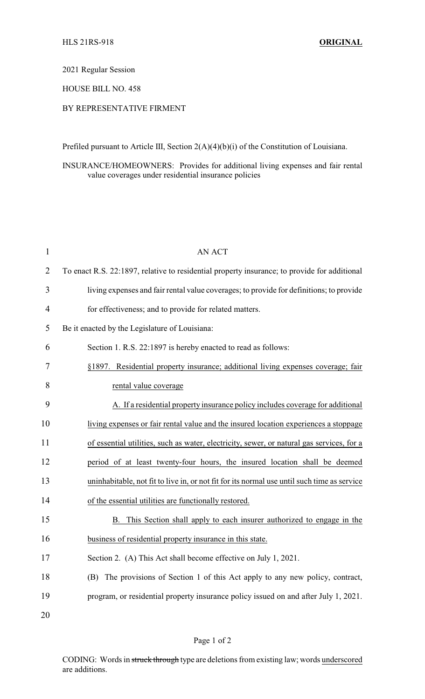#### 2021 Regular Session

### HOUSE BILL NO. 458

# BY REPRESENTATIVE FIRMENT

Prefiled pursuant to Article III, Section 2(A)(4)(b)(i) of the Constitution of Louisiana.

INSURANCE/HOMEOWNERS: Provides for additional living expenses and fair rental value coverages under residential insurance policies

| 1              | AN ACT                                                                                       |
|----------------|----------------------------------------------------------------------------------------------|
| $\overline{2}$ | To enact R.S. 22:1897, relative to residential property insurance; to provide for additional |
| 3              | living expenses and fair rental value coverages; to provide for definitions; to provide      |
| $\overline{4}$ | for effectiveness; and to provide for related matters.                                       |
| 5              | Be it enacted by the Legislature of Louisiana:                                               |
| 6              | Section 1. R.S. 22:1897 is hereby enacted to read as follows:                                |
| 7              | §1897. Residential property insurance; additional living expenses coverage; fair             |
| 8              | rental value coverage                                                                        |
| 9              | A. If a residential property insurance policy includes coverage for additional               |
| 10             | living expenses or fair rental value and the insured location experiences a stoppage         |
| 11             | of essential utilities, such as water, electricity, sewer, or natural gas services, for a    |
| 12             | period of at least twenty-four hours, the insured location shall be deemed                   |
| 13             | uninhabitable, not fit to live in, or not fit for its normal use until such time as service  |
| 14             | of the essential utilities are functionally restored.                                        |
| 15             | This Section shall apply to each insurer authorized to engage in the<br>В.                   |
| 16             | business of residential property insurance in this state.                                    |
| 17             | Section 2. (A) This Act shall become effective on July 1, 2021.                              |
| 18             | The provisions of Section 1 of this Act apply to any new policy, contract,<br>(B)            |
| 19             | program, or residential property insurance policy issued on and after July 1, 2021.          |
|                |                                                                                              |

20

# Page 1 of 2

CODING: Words in struck through type are deletions from existing law; words underscored are additions.